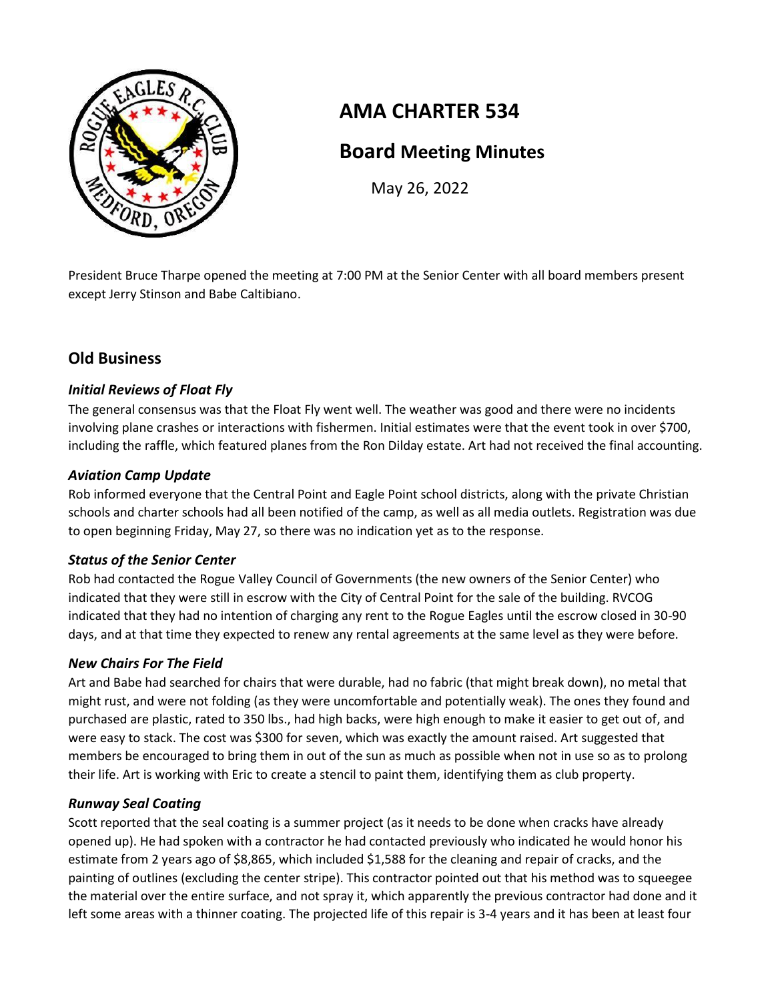

# **AMA CHARTER 534**

## **Board Meeting Minutes**

May 26, 2022

President Bruce Tharpe opened the meeting at 7:00 PM at the Senior Center with all board members present except Jerry Stinson and Babe Caltibiano.

## **Old Business**

## *Initial Reviews of Float Fly*

The general consensus was that the Float Fly went well. The weather was good and there were no incidents involving plane crashes or interactions with fishermen. Initial estimates were that the event took in over \$700, including the raffle, which featured planes from the Ron Dilday estate. Art had not received the final accounting.

## *Aviation Camp Update*

Rob informed everyone that the Central Point and Eagle Point school districts, along with the private Christian schools and charter schools had all been notified of the camp, as well as all media outlets. Registration was due to open beginning Friday, May 27, so there was no indication yet as to the response.

### *Status of the Senior Center*

Rob had contacted the Rogue Valley Council of Governments (the new owners of the Senior Center) who indicated that they were still in escrow with the City of Central Point for the sale of the building. RVCOG indicated that they had no intention of charging any rent to the Rogue Eagles until the escrow closed in 30-90 days, and at that time they expected to renew any rental agreements at the same level as they were before.

## *New Chairs For The Field*

Art and Babe had searched for chairs that were durable, had no fabric (that might break down), no metal that might rust, and were not folding (as they were uncomfortable and potentially weak). The ones they found and purchased are plastic, rated to 350 lbs., had high backs, were high enough to make it easier to get out of, and were easy to stack. The cost was \$300 for seven, which was exactly the amount raised. Art suggested that members be encouraged to bring them in out of the sun as much as possible when not in use so as to prolong their life. Art is working with Eric to create a stencil to paint them, identifying them as club property.

## *Runway Seal Coating*

Scott reported that the seal coating is a summer project (as it needs to be done when cracks have already opened up). He had spoken with a contractor he had contacted previously who indicated he would honor his estimate from 2 years ago of \$8,865, which included \$1,588 for the cleaning and repair of cracks, and the painting of outlines (excluding the center stripe). This contractor pointed out that his method was to squeegee the material over the entire surface, and not spray it, which apparently the previous contractor had done and it left some areas with a thinner coating. The projected life of this repair is 3-4 years and it has been at least four